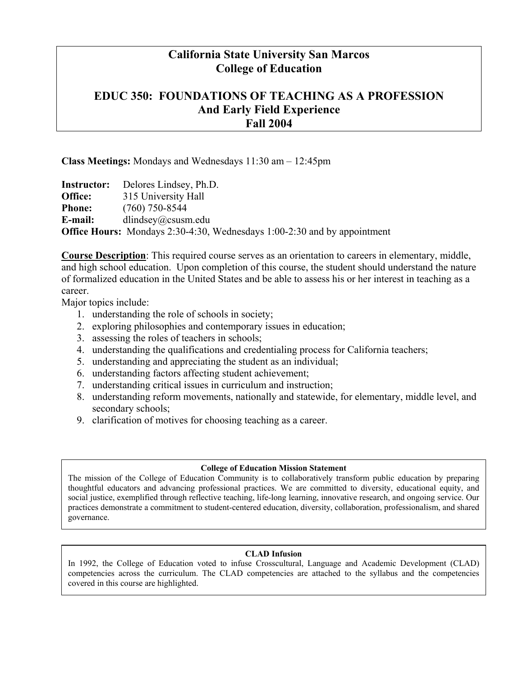### **California State University San Marcos College of Education**

### **EDUC 350: FOUNDATIONS OF TEACHING AS A PROFESSION And Early Field Experience Fall 2004**

#### **Class Meetings:** Mondays and Wednesdays 11:30 am – 12:45pm

**Instructor:** Delores Lindsey, Ph.D. **Office:** 315 University Hall **Phone:** (760) 750-8544 **E-mail:** dlindsey@csusm.edu **Office Hours:** Mondays 2:30-4:30, Wednesdays 1:00-2:30 and by appointment

**Course Description**: This required course serves as an orientation to careers in elementary, middle, and high school education. Upon completion of this course, the student should understand the nature of formalized education in the United States and be able to assess his or her interest in teaching as a career.

Major topics include:

- 1. understanding the role of schools in society;
- 2. exploring philosophies and contemporary issues in education;
- 3. assessing the roles of teachers in schools;
- 4. understanding the qualifications and credentialing process for California teachers;
- 5. understanding and appreciating the student as an individual;
- 6. understanding factors affecting student achievement;
- 7. understanding critical issues in curriculum and instruction;
- 8. understanding reform movements, nationally and statewide, for elementary, middle level, and secondary schools;
- 9. clarification of motives for choosing teaching as a career.

#### **College of Education Mission Statement**

The mission of the College of Education Community is to collaboratively transform public education by preparing thoughtful educators and advancing professional practices. We are committed to diversity, educational equity, and social justice, exemplified through reflective teaching, life-long learning, innovative research, and ongoing service. Our practices demonstrate a commitment to student-centered education, diversity, collaboration, professionalism, and shared governance.

#### **CLAD Infusion**

In 1992, the College of Education voted to infuse Crosscultural, Language and Academic Development (CLAD) competencies across the curriculum. The CLAD competencies are attached to the syllabus and the competencies covered in this course are highlighted.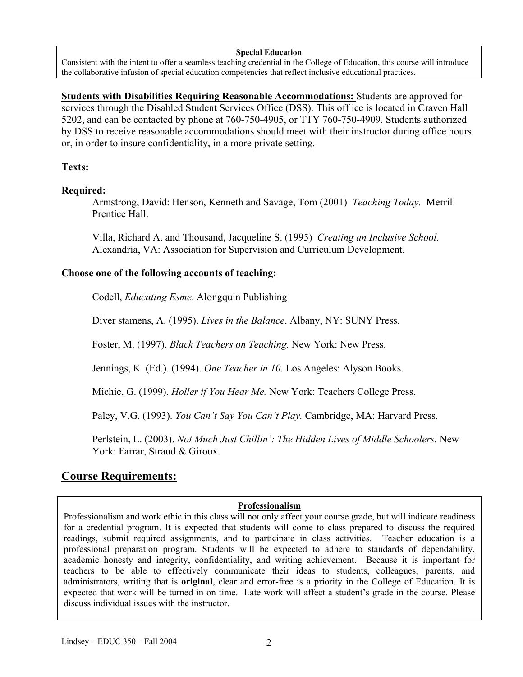#### **Special Education**

Consistent with the intent to offer a seamless teaching credential in the College of Education, this course will introduce the collaborative infusion of special education competencies that reflect inclusive educational practices.

**Students with Disabilities Requiring Reasonable Accommodations:** Students are approved for services through the Disabled Student Services Office (DSS). This off ice is located in Craven Hall 5202, and can be contacted by phone at 760-750-4905, or TTY 760-750-4909. Students authorized by DSS to receive reasonable accommodations should meet with their instructor during office hours or, in order to insure confidentiality, in a more private setting.

### **Texts:**

### **Required:**

Armstrong, David: Henson, Kenneth and Savage, Tom (2001) *Teaching Today.* Merrill Prentice Hall.

Villa, Richard A. and Thousand, Jacqueline S. (1995) *Creating an Inclusive School.*  Alexandria, VA: Association for Supervision and Curriculum Development.

#### **Choose one of the following accounts of teaching:**

Codell, *Educating Esme*. Alongquin Publishing

Diver stamens, A. (1995). *Lives in the Balance*. Albany, NY: SUNY Press.

Foster, M. (1997). *Black Teachers on Teaching.* New York: New Press.

Jennings, K. (Ed.). (1994). *One Teacher in 10.* Los Angeles: Alyson Books.

Michie, G. (1999). *Holler if You Hear Me.* New York: Teachers College Press.

Paley, V.G. (1993). *You Can't Say You Can't Play.* Cambridge, MA: Harvard Press.

Perlstein, L. (2003). *Not Much Just Chillin': The Hidden Lives of Middle Schoolers.* New York: Farrar, Straud & Giroux.

# **Course Requirements:**

### **Professionalism**

Professionalism and work ethic in this class will not only affect your course grade, but will indicate readiness for a credential program. It is expected that students will come to class prepared to discuss the required readings, submit required assignments, and to participate in class activities. Teacher education is a professional preparation program. Students will be expected to adhere to standards of dependability, academic honesty and integrity, confidentiality, and writing achievement. Because it is important for teachers to be able to effectively communicate their ideas to students, colleagues, parents, and administrators, writing that is **original**, clear and error-free is a priority in the College of Education. It is expected that work will be turned in on time. Late work will affect a student's grade in the course. Please discuss individual issues with the instructor.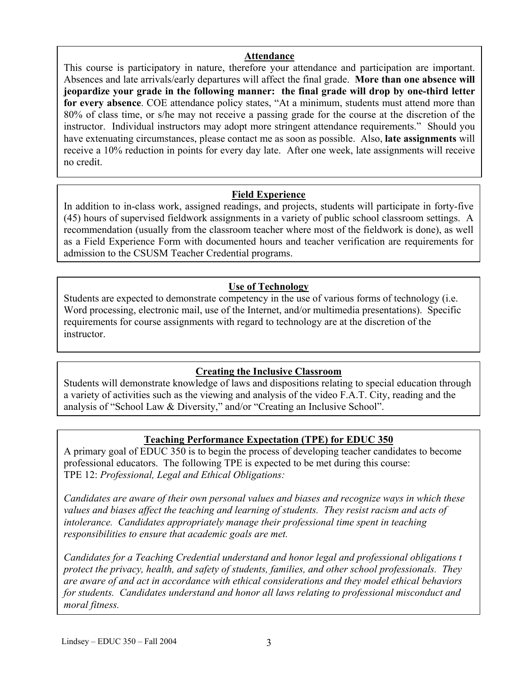#### **Attendance**

Absences and late arrivals/early departures will affect the final grade. **More than one absence will** This course is participatory in nature, therefore your attendance and participation are important. **jeopardize your grade in the following manner: the final grade will drop by one-third letter for every absence**. COE attendance policy states, "At a minimum, students must attend more than 80% of class time, or s/he may not receive a passing grade for the course at the discretion of the instructor. Individual instructors may adopt more stringent attendance requirements." Should you have extenuating circumstances, please contact me as soon as possible. Also, **late assignments** will receive a 10% reduction in points for every day late. After one week, late assignments will receive no credit.

### **Field Experience**

In addition to in-class work, assigned readings, and projects, students will participate in forty-five (45) hours of supervised fieldwork assignments in a variety of public school classroom settings. A recommendation (usually from the classroom teacher where most of the fieldwork is done), as well as a Field Experience Form with documented hours and teacher verification are requirements for admission to the CSUSM Teacher Credential programs.

### **Use of Technology**

Students are expected to demonstrate competency in the use of various forms of technology (i.e. Word processing, electronic mail, use of the Internet, and/or multimedia presentations). Specific requirements for course assignments with regard to technology are at the discretion of the instructor.

### **Creating the Inclusive Classroom**

Students will demonstrate knowledge of laws and dispositions relating to special education through a variety of activities such as the viewing and analysis of the video F.A.T. City, reading and the analysis of "School Law & Diversity," and/or "Creating an Inclusive School".

### **Teaching Performance Expectation (TPE) for EDUC 350**

A primary goal of EDUC 350 is to begin the process of developing teacher candidates to become professional educators. The following TPE is expected to be met during this course: TPE 12: *Professional, Legal and Ethical Obligations:* 

*Candidates are aware of their own personal values and biases and recognize ways in which these values and biases affect the teaching and learning of students. They resist racism and acts of intolerance. Candidates appropriately manage their professional time spent in teaching responsibilities to ensure that academic goals are met.* 

*Candidates for a Teaching Credential understand and honor legal and professional obligations t protect the privacy, health, and safety of students, families, and other school professionals. They are aware of and act in accordance with ethical considerations and they model ethical behaviors for students. Candidates understand and honor all laws relating to professional misconduct and moral fitness.*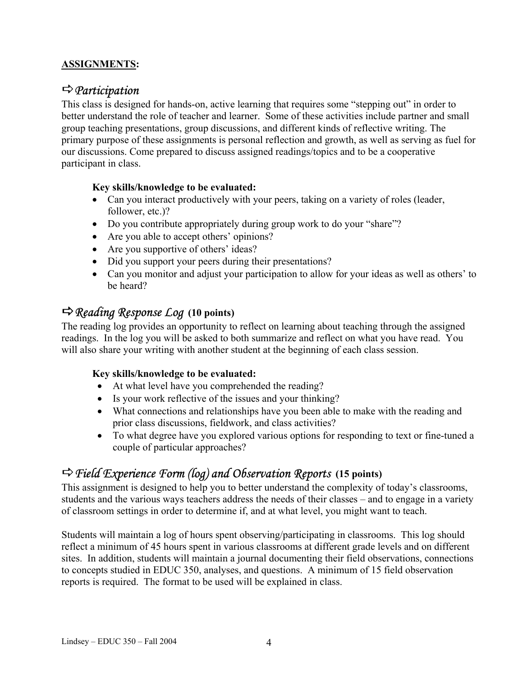### **ASSIGNMENTS:**

### D*Participation*

This class is designed for hands-on, active learning that requires some "stepping out" in order to better understand the role of teacher and learner. Some of these activities include partner and small group teaching presentations, group discussions, and different kinds of reflective writing. The primary purpose of these assignments is personal reflection and growth, as well as serving as fuel for our discussions. Come prepared to discuss assigned readings/topics and to be a cooperative participant in class.

### **Key skills/knowledge to be evaluated:**

- Can you interact productively with your peers, taking on a variety of roles (leader, follower, etc.)?
- Do you contribute appropriately during group work to do your "share"?
- Are you able to accept others' opinions?
- Are you supportive of others' ideas?
- Did you support your peers during their presentations?
- Can you monitor and adjust your participation to allow for your ideas as well as others' to be heard?

### D*Reading Response Log* **(10 points)**

The reading log provides an opportunity to reflect on learning about teaching through the assigned readings. In the log you will be asked to both summarize and reflect on what you have read. You will also share your writing with another student at the beginning of each class session.

### **Key skills/knowledge to be evaluated:**

- At what level have you comprehended the reading?
- Is your work reflective of the issues and your thinking?
- What connections and relationships have you been able to make with the reading and prior class discussions, fieldwork, and class activities?
- To what degree have you explored various options for responding to text or fine-tuned a couple of particular approaches?

# D*Field Experience Form (log) and Observation Reports* **(15 points)**

This assignment is designed to help you to better understand the complexity of today's classrooms, students and the various ways teachers address the needs of their classes – and to engage in a variety of classroom settings in order to determine if, and at what level, you might want to teach.

Students will maintain a log of hours spent observing/participating in classrooms. This log should reflect a minimum of 45 hours spent in various classrooms at different grade levels and on different sites. In addition, students will maintain a journal documenting their field observations, connections to concepts studied in EDUC 350, analyses, and questions. A minimum of 15 field observation reports is required. The format to be used will be explained in class.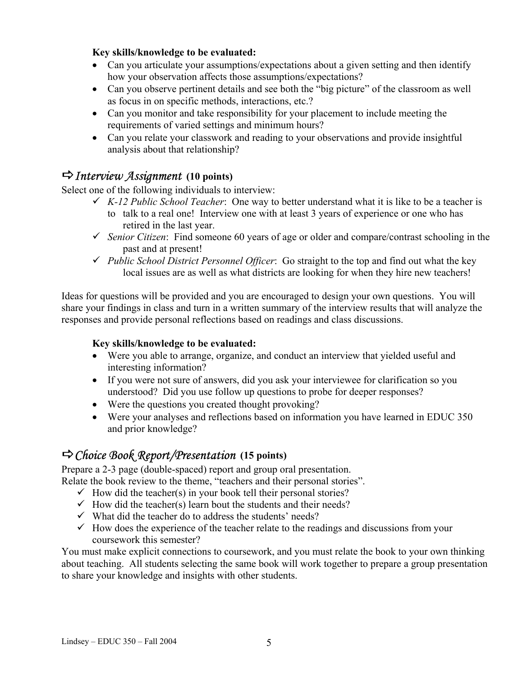### **Key skills/knowledge to be evaluated:**

- Can you articulate your assumptions/expectations about a given setting and then identify how your observation affects those assumptions/expectations?
- Can you observe pertinent details and see both the "big picture" of the classroom as well as focus in on specific methods, interactions, etc.?
- Can you monitor and take responsibility for your placement to include meeting the requirements of varied settings and minimum hours?
- Can you relate your classwork and reading to your observations and provide insightful analysis about that relationship?

# D*Interview Assignment* **(10 points)**

Select one of the following individuals to interview:

- $\checkmark$  *K-12 Public School Teacher*: One way to better understand what it is like to be a teacher is
	- to talk to a real one! Interview one with at least 3 years of experience or one who has retired in the last year.
- $\checkmark$  *Senior Citizen*: Find someone 60 years of age or older and compare/contrast schooling in the past and at present!
- 9 *Public School District Personnel Officer*: Go straight to the top and find out what the key local issues are as well as what districts are looking for when they hire new teachers!

Ideas for questions will be provided and you are encouraged to design your own questions. You will share your findings in class and turn in a written summary of the interview results that will analyze the responses and provide personal reflections based on readings and class discussions.

#### **Key skills/knowledge to be evaluated:**

- Were you able to arrange, organize, and conduct an interview that yielded useful and interesting information?
- If you were not sure of answers, did you ask your interviewee for clarification so you understood? Did you use follow up questions to probe for deeper responses?
- Were the questions you created thought provoking?
- Were your analyses and reflections based on information you have learned in EDUC 350 and prior knowledge?

# D*Choice Book Report/Presentation* **(15 points)**

Prepare a 2-3 page (double-spaced) report and group oral presentation. Relate the book review to the theme, "teachers and their personal stories".

- $\checkmark$  How did the teacher(s) in your book tell their personal stories?
- $\checkmark$  How did the teacher(s) learn bout the students and their needs?
- $\checkmark$  What did the teacher do to address the students' needs?
- $\checkmark$  How does the experience of the teacher relate to the readings and discussions from your coursework this semester?

You must make explicit connections to coursework, and you must relate the book to your own thinking about teaching. All students selecting the same book will work together to prepare a group presentation to share your knowledge and insights with other students.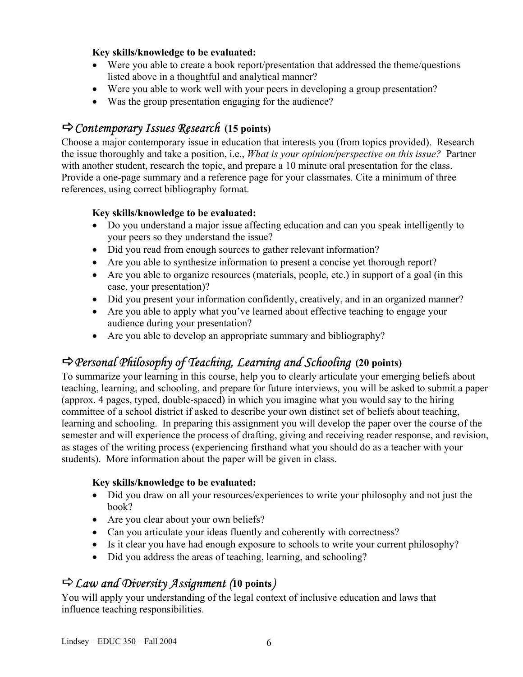### **Key skills/knowledge to be evaluated:**

- Were you able to create a book report/presentation that addressed the theme/questions listed above in a thoughtful and analytical manner?
- Were you able to work well with your peers in developing a group presentation?
- Was the group presentation engaging for the audience?

# D*Contemporary Issues Research* **(15 points)**

Choose a major contemporary issue in education that interests you (from topics provided). Research the issue thoroughly and take a position, i.e., *What is your opinion/perspective on this issue?* Partner with another student, research the topic, and prepare a 10 minute oral presentation for the class. Provide a one-page summary and a reference page for your classmates. Cite a minimum of three references, using correct bibliography format.

### **Key skills/knowledge to be evaluated:**

- Do you understand a major issue affecting education and can you speak intelligently to your peers so they understand the issue?
- Did you read from enough sources to gather relevant information?
- Are you able to synthesize information to present a concise yet thorough report?
- Are you able to organize resources (materials, people, etc.) in support of a goal (in this case, your presentation)?
- Did you present your information confidently, creatively, and in an organized manner?
- Are you able to apply what you've learned about effective teaching to engage your audience during your presentation?
- Are you able to develop an appropriate summary and bibliography?

# D*Personal Philosophy of Teaching, Learning and Schooling* **(20 points)**

To summarize your learning in this course, help you to clearly articulate your emerging beliefs about teaching, learning, and schooling, and prepare for future interviews, you will be asked to submit a paper (approx. 4 pages, typed, double-spaced) in which you imagine what you would say to the hiring committee of a school district if asked to describe your own distinct set of beliefs about teaching, learning and schooling. In preparing this assignment you will develop the paper over the course of the semester and will experience the process of drafting, giving and receiving reader response, and revision, as stages of the writing process (experiencing firsthand what you should do as a teacher with your students). More information about the paper will be given in class.

### **Key skills/knowledge to be evaluated:**

- Did you draw on all your resources/experiences to write your philosophy and not just the book?
- Are you clear about your own beliefs?
- Can you articulate your ideas fluently and coherently with correctness?
- Is it clear you have had enough exposure to schools to write your current philosophy?
- Did you address the areas of teaching, learning, and schooling?

# D*Law and Diversity Assignment (***10 points***)*

You will apply your understanding of the legal context of inclusive education and laws that influence teaching responsibilities.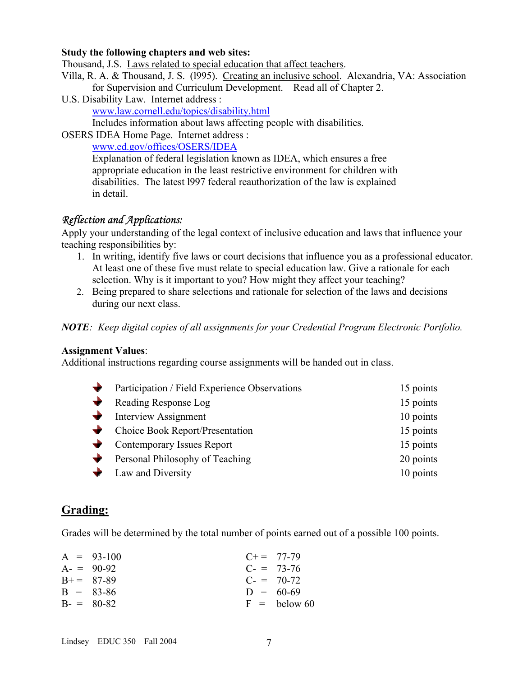#### **Study the following chapters and web sites:**

Thousand, J.S. Laws related to special education that affect teachers.

- Villa, R. A. & Thousand, J. S. (l995). Creating an inclusive school. Alexandria, VA: Association for Supervision and Curriculum Development. Read all of Chapter 2.
- U.S. Disability Law. Internet address :

www.law.cornell.edu/topics/disability.html

Includes information about laws affecting people with disabilities.

OSERS IDEA Home Page. Internet address :

www.ed.gov/offices/OSERS/IDEA

Explanation of federal legislation known as IDEA, which ensures a free appropriate education in the least restrictive environment for children with disabilities. The latest l997 federal reauthorization of the law is explained in detail.

### *Reflection and Applications:*

Apply your understanding of the legal context of inclusive education and laws that influence your teaching responsibilities by:

- 1. In writing, identify five laws or court decisions that influence you as a professional educator. At least one of these five must relate to special education law. Give a rationale for each selection. Why is it important to you? How might they affect your teaching?
- 2. Being prepared to share selections and rationale for selection of the laws and decisions during our next class.

*NOTE: Keep digital copies of all assignments for your Credential Program Electronic Portfolio.* 

#### **Assignment Values**:

Additional instructions regarding course assignments will be handed out in class.

| $\blacktriangleright$ Participation / Field Experience Observations | 15 points |
|---------------------------------------------------------------------|-----------|
| Reading Response Log                                                | 15 points |
| $\blacktriangleright$ Interview Assignment                          | 10 points |
| Choice Book Report/Presentation                                     | 15 points |
| Contemporary Issues Report                                          | 15 points |
| $\blacktriangleright$ Personal Philosophy of Teaching               | 20 points |
| • Law and Diversity                                                 | 10 points |
|                                                                     |           |

### **Grading:**

Grades will be determined by the total number of points earned out of a possible 100 points.

| $A = 93-100$ | $C+=77-79$     |
|--------------|----------------|
| $A = 90-92$  | $C = 73-76$    |
| $B+= 87-89$  | $C = 70-72$    |
| $B = 83-86$  | $D = 60-69$    |
| $B = 80-82$  | $F =$ below 60 |